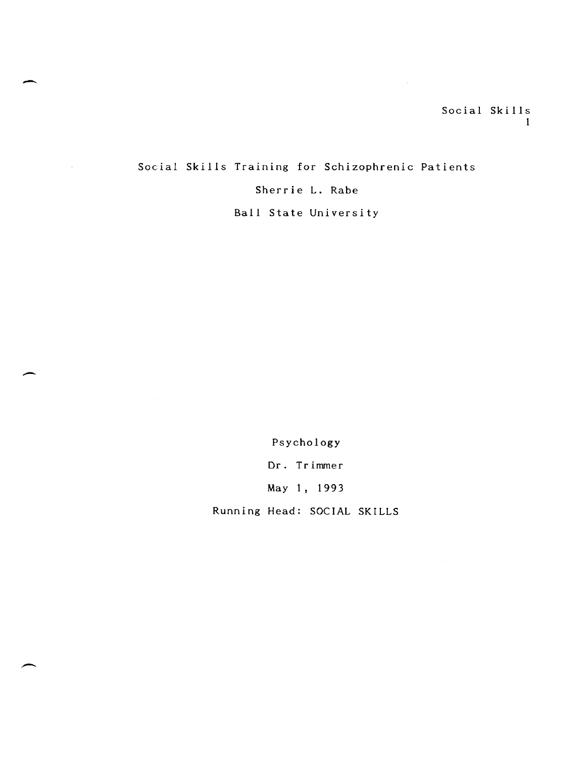Social Skills Training for Schizophrenic Patients Sherrie L. Rabe

 $\overline{\phantom{a}}$ 

 $\bar{z}$ 

 $\overline{\phantom{a}}$ 

Ball State University

Psychology

Dr. Trimmer

May 1, 1993

Running Head: SOCIAL SKILLS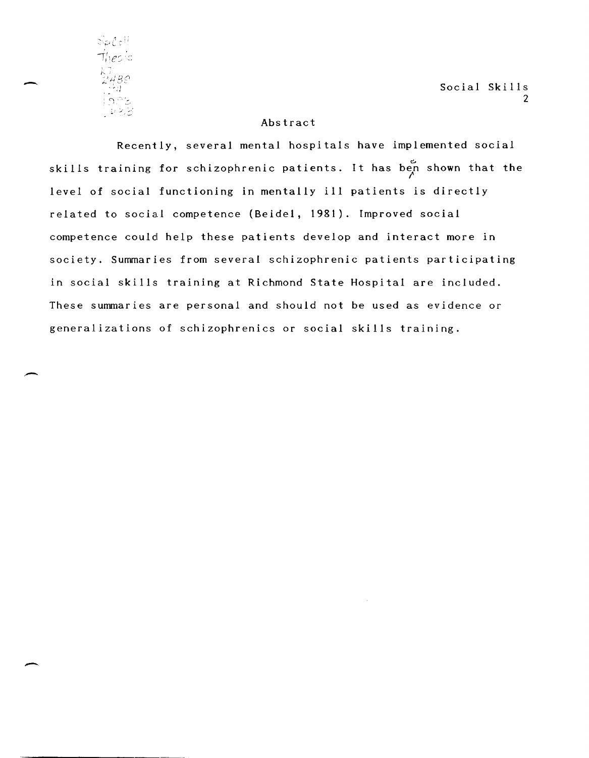<sup>~</sup>.. i'  $\mathcal{S}$ p $\mathcal{C}$ ell <sup>~</sup>"--

-

-

-.

Social Skills 2

#### Abstract

Recently, several mental hospitals have implemented social skills training for schizophrenic patients. It has ben shown that the level of social functioning in mentally ill patients is directly related to social competence (Beidel, 1981). Improved social competence could help these patients develop and interact more in society. Summaries from several schizophrenic patients participating in social skills training at Richmond State Hospital are included. These summaries are personal and should not be used as evidence or generalizations of schizophrenics or social skills training.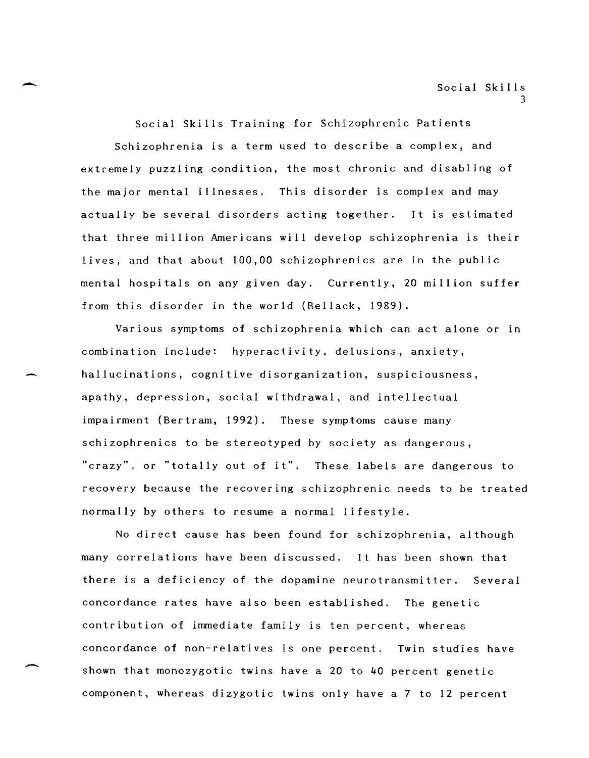Social Skills Training for Schizophrenic Patients Schizophrenia is a term used to describe a complex, and extremely puzzling condition, the most chronic and disabling of the major mental illnesses. This disorder is complex and may actually be several disorders acting together. It is estimated that three million Americans will develop schizophrenia is their lives, and that about 100,00 schizophrenics are in the public mental hospitals on any given day. Currently, 20 million suffer from this disorder in the world (Bellack, 1989).

-

-

-

Various symptoms of schizophrenia which can act alone or in combination include: hyperactivity, delusions, anxiety, hallucinations, cognitive disorganization, suspiciousness, apathy, depression, social withdrawal, and intellectual impairment (Bertram, 1992). These symptoms cause many schizophrenics to be stereotyped by society as dangerous, "crazy", or "totally out of it". These labels are dangerous to recovery because the recovering schizophrenic needs to be treated normally by others to resume a normal lifestyle.

No direct cause has been found for schizophrenia, although many correlations have been discussed. It has been shown that there is a deficiency of the dopamine neurotransmitter. Several concordance rates have also been established. The genetic contribution of immediate family is ten percent, whereas concordance of non-relatives is one percent. Twin studies have shown that monozygotic twins have a 20 to 40 percent genetic component, whereas dizygotic twins only have a 7 to 12 percent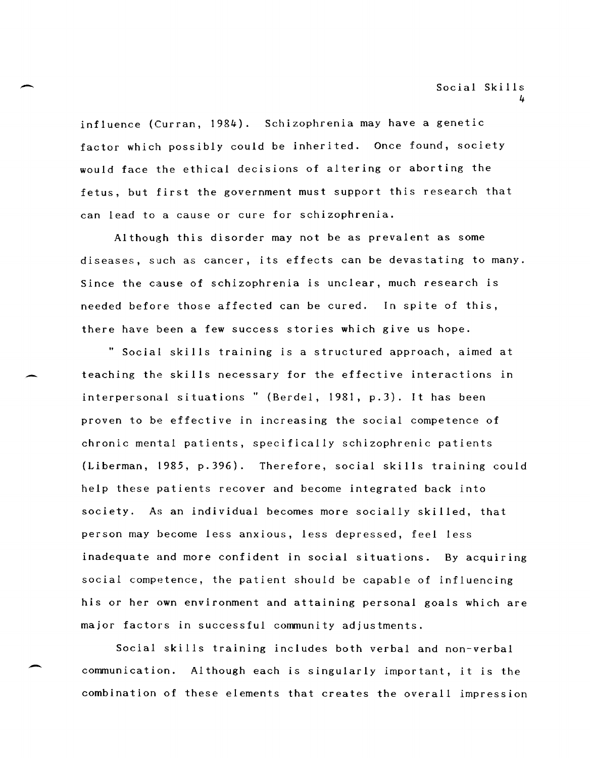influence (Curran, 1984). Schizophrenia may have a genetic factor which possibly could be inherited. Once found, society would face the ethical decisions of altering or aborting the fetus, but first the government must support this research that can lead to a cause or cure for schizophrenia.

-

-

-

Although this disorder may not be as prevalent as some diseases, such as cancer, its effects can be devastating to many. Since the cause of schizophrenia is unclear, much research is needed before those affected can be cured. In spite of this, there have been a few success stories which give us hope.

" Social skills training is a structured approach, aimed at teaching the skills necessary for the effective interactions in interpersonal situations" (Berdel, 1981, p.3). It has been proven to be effective in increasing the social competence of chronic mental patients, specifically schizophrenic patients (Liberman, 1985, p.396). Therefore, social skills training could help these patients recover and become integrated back into society. As an individual becomes more socially skilled, that person may become less anxious, less depressed, feel less inadequate and more confident in social situations. By acquiring social competence, the patient should be capable of influencing his or her own environment and attaining personal goals which are major factors in successful community adjustments.

Social skills training includes both verbal and non-verbal communication. Although each is singularly important, it is the combination of these elements that creates the overall impression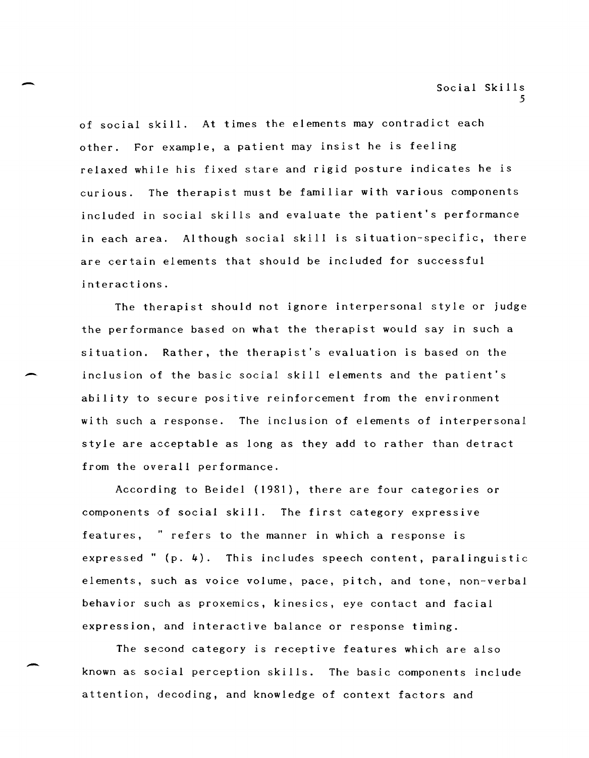of social skill. At times the elements may contradict each other. For example, a patient may insist he is feeling relaxed while his fixed stare and rigid posture indicates he is curious. The therapist must be familiar with various components included in social skills and evaluate the patient's performance in each area. Although social skill is situation-specific, there are certain elements that should be included for successful interactions.

-

-

-

The therapist should not ignore interpersonal style or judge the performance based on what the therapist would say in such a situation. Rather, the therapist's evaluation is based on the inclusion of the basic social skill elements and the patient's ability to secure positive reinforcement from the environment with such a response. The inclusion of elements of interpersonal style are acceptable as long as they add to rather than detract from the overall performance.

According to Beidel (1981), there are four categories or components of social skill. The first category expressive features, " refers to the manner in which a response is expressed" (p. 4). This includes speech content, paralinguistic elements, such as voice volume, pace, pitch, and tone, non-verbal behavior such as proxemics, kinesics, eye contact and facial expression, and interactive balance or response timing.

The second category is receptive features which are also known as social perception skills. The basic components include attention, decoding, and knowledge of context factors and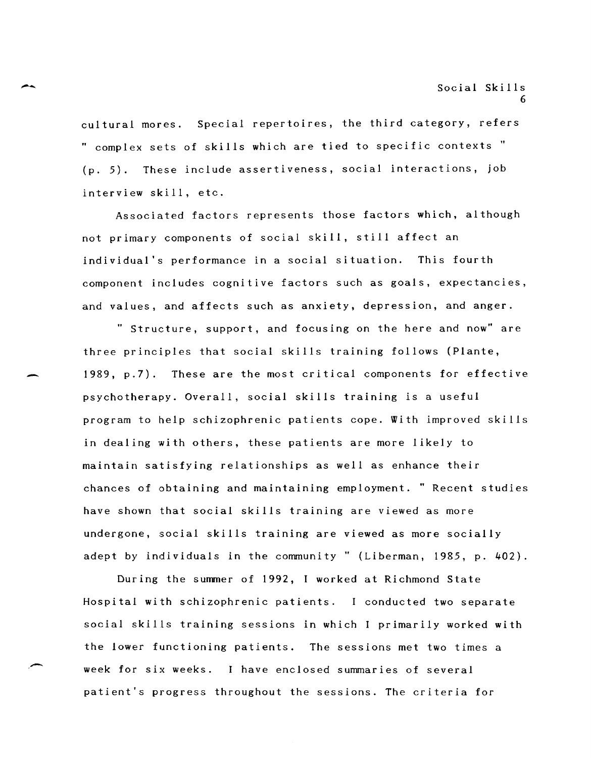cultural mores. Special repertoires, the third category, refers " complex sets of skills which are tied to specific contexts" (p. 5). These include assertiveness, social interactions, job interview skill, etc.

-

-

,-

Associated factors represents those factors which, although not primary components of social skill, still affect an individual's performance in a social situation. This fourth component includes cognitive factors such as goals, expectancies, and values, and affects such as anxiety, depression, and anger.

" Structure, support, and focusing on the here and now" are three principles that social skills training follows (Plante, 1989, p.7). These are the most critical components for effective psychotherapy. Overall, social skills training is a useful program to help schizophrenic patients cope. With improved skills in dealing with others, these patients are more likely to maintain satisfying relationships as well as enhance their chances of obtaining and maintaining employment. " Recent studies have shown that social skills training are viewed as more undergone, social skills training are viewed as more socially adept by individuals in the community" (Liberman, 1985, p. 402).

During the summer of 1992, I worked at Richmond State Hospital with schizophrenic patients. I conducted two separate social skills training sessions in which I primarily worked with the lower functioning patients. The sessions met two times a week for six weeks. I have enclosed summaries of several patient's progress throughout the sessions. The criteria for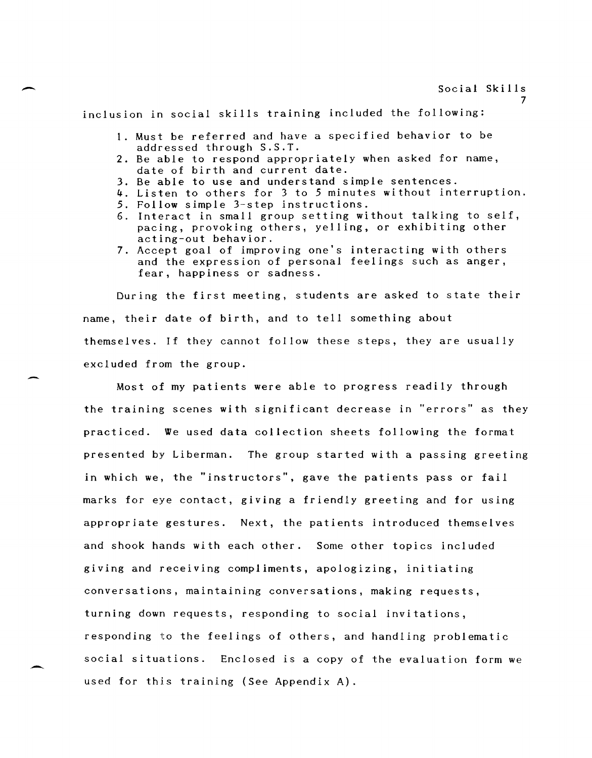inclusion in social skills training included the following:

- 1. Must be referred and have a specified behavior to be addressed through S.S.T.
- 2. Be able to respond appropriately when asked for name, date of birth and current date.
- 3. Be able to use and understand simple sentences.
- 4. Listen to others for 3 to 5 minutes without interruption.
- 5. Follow simple 3-step instructions.
- 6. Interact in small group setting without talking to self, pacing, provoking others, yelling, or exhibiting other acting-out behavior.
- 7. Accept goal of improving one's interacting with others and the expression of personal feelings such as anger, fear, happiness or sadness.

During the first meeting, students are asked to state their name, their date of birth, and to tell something about themselves. If they cannot follow these steps, they are usually excluded from the group.

Most of my patients were able to progress readily through the training scenes with significant decrease in "errors" as they practiced. We used data collection sheets following the format presented by Liberman. The group started with a passing greeting in which we, the "instructors", gave the patients pass or fail marks for eye contact, giving a friendly greeting and for using appropriate gestures. Next, the patients introduced themselves and shook hands with each other. Some other topics included giving and receiving compliments, apologizing, initiating conversations, maintaining conversations, making requests, turning down requests, responding to social invitations, responding to the feelings of others, and handling problematic social situations. Enclosed is a copy of the evaluation form we used for this training (See Appendix A).

7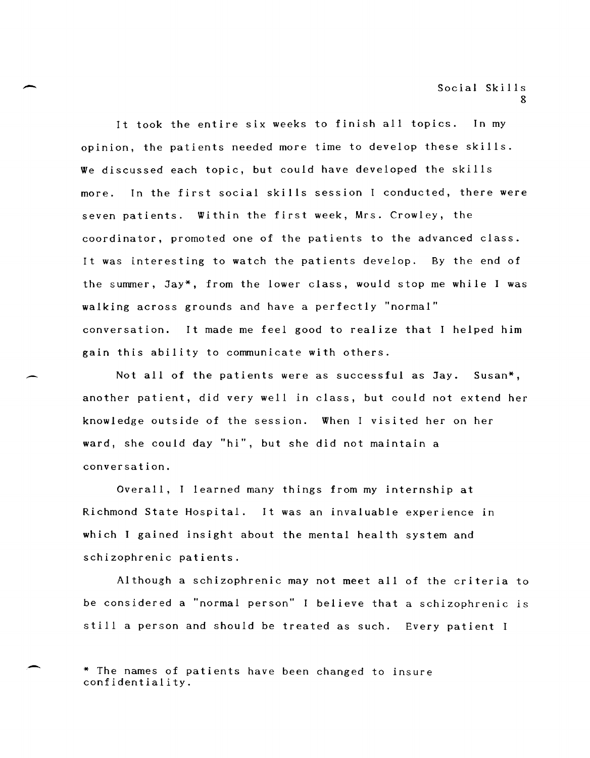Social Skills  $\Omega$ 

It took the entire six weeks to finish all topics. In my opinion, the patients needed more time to develop these skills. We discussed each topic, but could have developed the skills more. In the first social skills session I conducted, there were seven patients. Within the first week, Mrs. Crowley, the coordinator, promoted one of the patients to the advanced class. It was interesting to watch the patients develop. By the end of the summer, Jay\*, from the lower class, would stop me while I was walking across grounds and have a perfectly "normal" conversation. It made me feel good to realize that I helped him gain this ability to communicate with others.

 $\overline{\phantom{a}}$ 

,-

-

Not all of the patients were as successful as Jay. Susan\*, another patient, did very well in class, but could not extend her knowledge outside of the session. When I visited her on her ward, she could day "hi", but she did not maintain a conversation.

Overall, I learned many things from my internship at Richmond State Hospital. It was an invaluable experience in which I gained insight about the mental health system and schizophrenic patients.

Although a schizophrenic may not meet all of the criteria to be considered a "normal person" I believe that a schizophrenic is still a person and should be treated as such. Every patient I

\* The names of patients have been changed to insure confidentiality.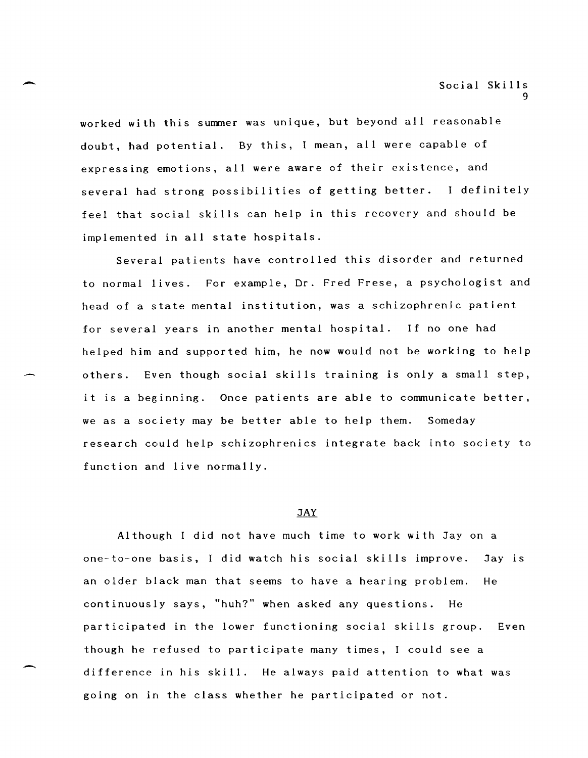worked with this summer was unique, but beyond all reasonable doubt, had potential. By this, I mean, all were capable of expressing emotions, all were aware of their existence, and several had strong possibilities of getting better. I definitely feel that social skills can help in this recovery and should be implemented in all state hospitals.

Several patients have controlled this disorder and returned to normal lives. For example, Dr. Fred Frese, a psychologist and head of a state mental institution, was a schizophrenic patient for several years in another mental hospital. If no one had helped him and supported him, he now would not be working to help others. Even though social skills training is only a small step, it is a beginning. Once patients are able to communicate better, we as a society may be better able to help them. Someday research could help schizophrenics integrate back into society to function and live normally.

#### **JAY**

Although I did not have much time to work with Jay on a one-to-one basis, I did watch his social skills improve. Jay is an older black man that seems to have a hearing problem. He continuously says, "huh?" when asked any questions. He participated in the lower functioning social skills group. Even though he refused to participate many times, I could see a difference in his skill. He always paid attention to what was going on in the class whether he participated or not.

 $\overline{\phantom{a}}$ 

 $\overline{\phantom{0}}$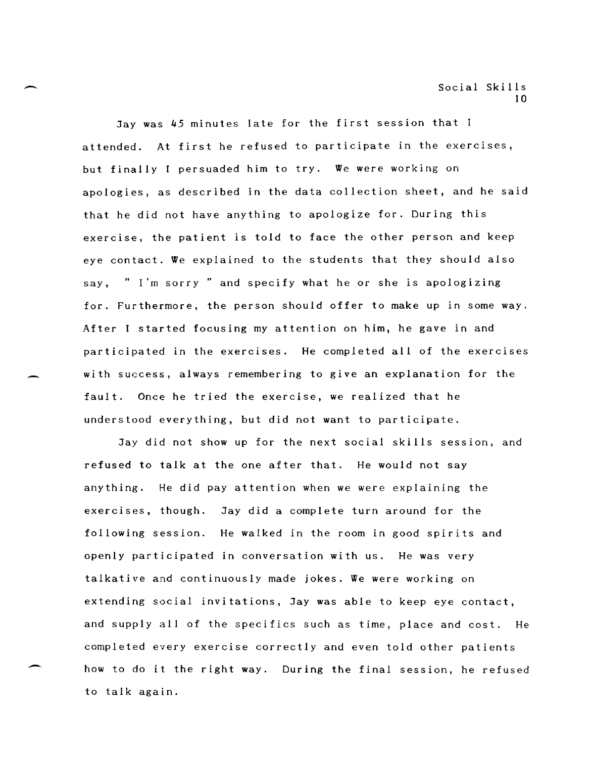Jay was 45 minutes late for the first session that I attended. At first he refused to participate in the exercises, but finally I persuaded him to try. We were working on apologies, as described in the data collection sheet, and he said that he did not have anything to apologize for. During this exercise, the patient is told to face the other person and keep eye contact. We explained to the students that they should also say, " I'm sorry" and specify what he or she is apologizing for. Furthermore, the person should offer to make up in some way. After I started focusing my attention on him, he gave in and participated in the exercises. He completed all of the exercises with success, always remembering to give an explanation for the fault. Once he tried the exercise, we realized that he understood everything, but did not want to participate.

 $\overline{\phantom{0}}$ 

-

-

Jay did not show up for the next social skills session, and refused to talk at the one after that. He would not say anything. He did pay attention when we were explaining the exercises, though. Jay did a complete turn around for the following session. He walked in the room in good spirits and openly participated in conversation with us. He was very talkative and continuously made jokes. We were working on extending social invitations, Jay was able to keep eye contact, and supply all of the specifics such as time, place and cost. He completed every exercise correctly and even told other patients how to do it the right way. During the final session, he refused to talk again.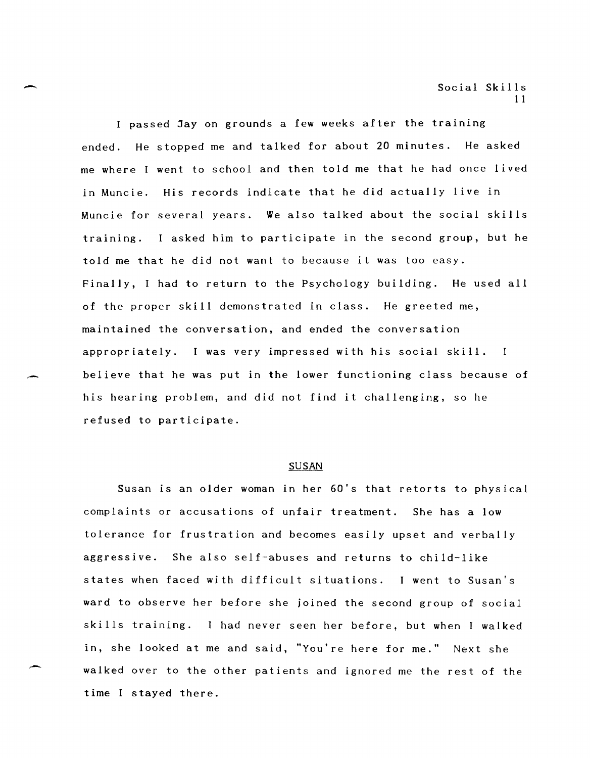I passed Jay on grounds a few weeks after the training ended. He stopped me and talked for about 20 minutes. He asked me where I went to school and then told me that he had once lived in Muncie. His records indicate that he did actually live in Muncie for several years. We also talked about the social skills training. I asked him to participate in the second group, but he told me that he did not want to because it was too easy. Finally, I had to return to the Psychology building. He used all of the proper skill demonstrated in class. He greeted me, maintained the conversation, and ended the conversation appropriately. I was very impressed with his social skill. believe that he was put in the lower functioning class because of his hearing problem, and did not find it challenging, so he refused to participate.

--

-

#### **SUSAN**

Susan is an older woman in her 60's that retorts to physical complaints or accusations of unfair treatment. She has a low tolerance for frustration and becomes easily upset and verbally aggressive. She also self-abuses and returns to child-like states when faced with difficult situations. I went to Susan's ward to observe her before she joined the second group of social skills training. had never seen her before, but when I walked in, she looked at me and said, "You're here for me." Next she walked over to the other patients and ignored me the rest of the time I stayed there.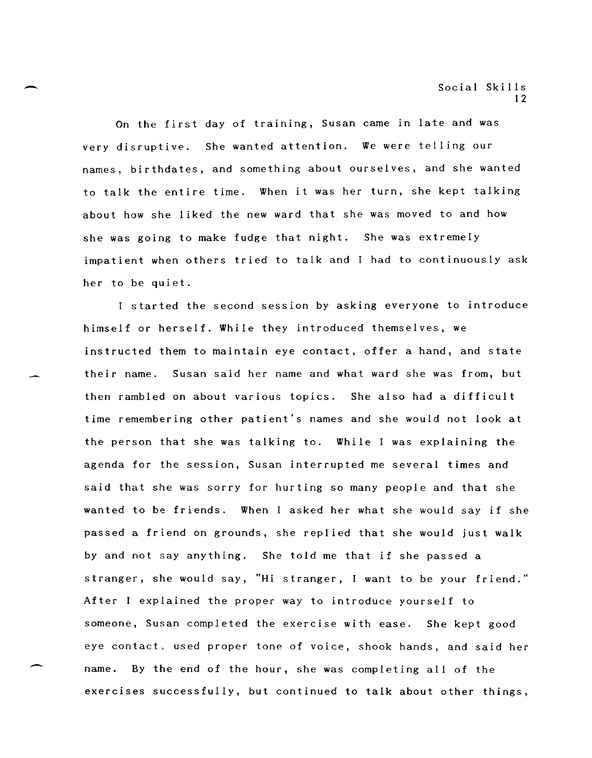On the first day of training, Susan came in late and was very disruptive. She wanted attention. We were telling our names, birthdates, and something about ourselves, and she wanted to talk the entire time. When it was her turn, she kept talking about how she liked the new ward that she was moved to and how she was going to make fudge that night. She was extremely impatient when others tried to talk and I had to continuously ask her to be quiet.

I started the second session by asking everyone to introduce himself or herself. While they introduced themselves, we instructed them to maintain eye contact, offer a hand, and state their name. Susan said her name and what ward she was from, but then rambled on about various topics. She also had a difficult time remembering other patient's names and she would not look at the person that she was talking to. While I was explaining the agenda for the session, Susan interrupted me several times and said that she was sorry for hurting so many people and that she wanted to be friends. When I asked her what she would say if she passed a friend on grounds, she replied that she would just walk by and not say anything. She told me that if she passed a stranger, she would say, "Hi stranger, I want to be your friend." After I explained the proper way to introduce yourself to someone, Susan completed the exercise with ease. She kept good eye contact, used proper tone of voice, shook hands, and said her name. By the end of the hour, she was completing all of the exercises successfully, but continued to talk about other things,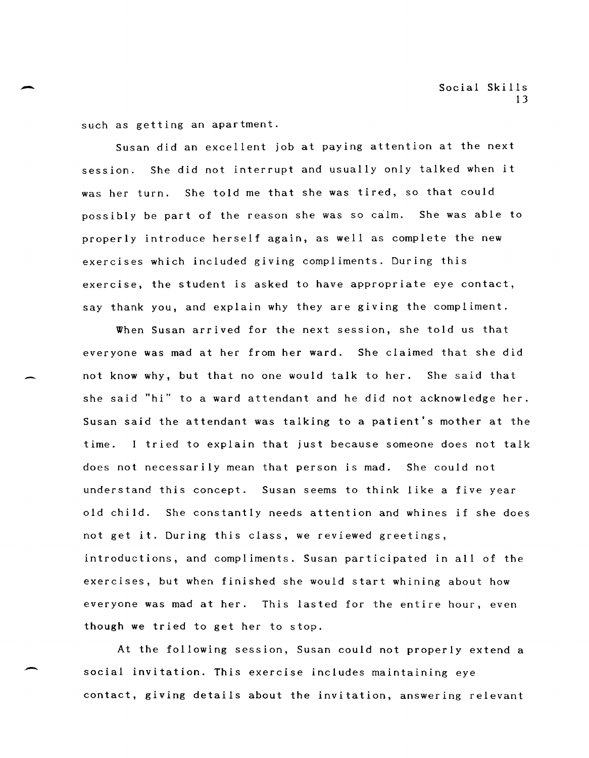such as getting an apartment.

Susan did an excellent job at paying attention at the next session. She did not interrupt and usually only talked when it was her turn. She told me that she was tired, so that could possibly be part of the reason she was so calm. She was able to properly introduce herself again, as well as complete the new exercises which included giving compliments. During this exercise, the student is asked to have appropriate eye contact, say thank you, and explain why they are giving the compliment.

When Susan arrived for the next session, she told us that everyone was mad at her from her ward. She claimed that she did not know why, but that no one would talk to her. She said that she said "hi" to a ward attendant and he did not acknowledge her. Susan said the attendant was talking to a patient's mother at the time. I tried to explain that just because someone does not talk does not necessarily mean that person is mad. She could not understand this concept. Susan seems to think like a five year old child. She constantly needs attention and whines if she does not get it. During this class, we reviewed greetings, introductions, and compliments. Susan participated in all of the exercises, but when finished she would start whining about how everyone was mad at her. This lasted for the entire hour, even though we tried to get her to stop.

At the following session, Susan could not properly extend a social invitation. This exercise includes maintaining eye contact, giving details about the invitation, answering relevant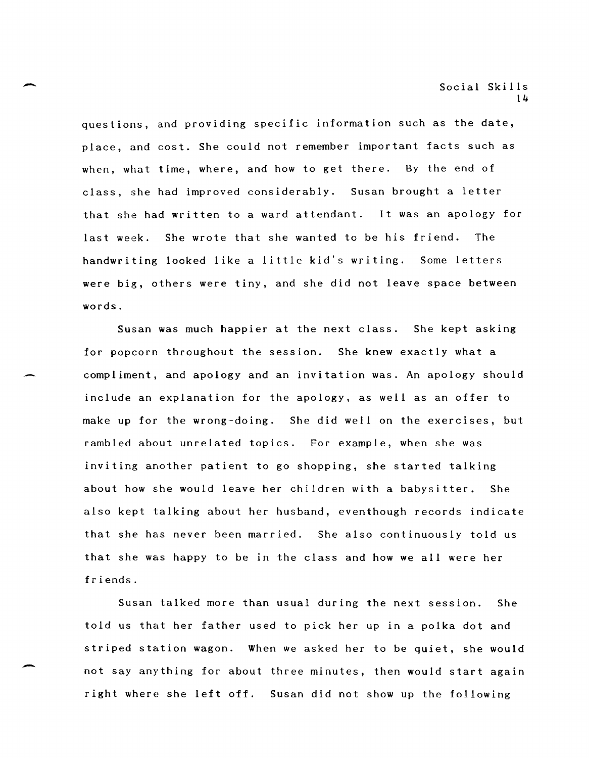questions, and providing specific information such as the date, place, and cost. She could not remember important facts such as when, what time, where, and how to get there. By the end of class, she had improved considerably. Susan brought a letter that she had written to a ward attendant. It was an apology for last week. She wrote that she wanted to be his friend. The handwriting looked like a little kid's writing. Some letters were big, others were tiny, and she did not leave space between words.

Susan was much happier at the next class. She kept asking for popcorn throughout the session. She knew exactly what a compliment, and apology and an invitation was. An apology should include an explanation for the apology, as well as an offer to make up for the wrong-doing. She did well on the exercises, but rambled about unrelated topics. For example, when she was inviting another patient to go shopping, she started talking about how she would leave her children with a babysitter. She also kept talking about her husband, eventhough records indicate that she has never been married. She also continuously told us that she was happy to be in the class and how we all were her friends.

Susan talked more than usual during the next session. She told us that her father used to pick her up in a polka dot and striped station wagon. When we asked her to be quiet, she would not say anything for about three minutes, then would start again right where she left off. Susan did not show up the following

~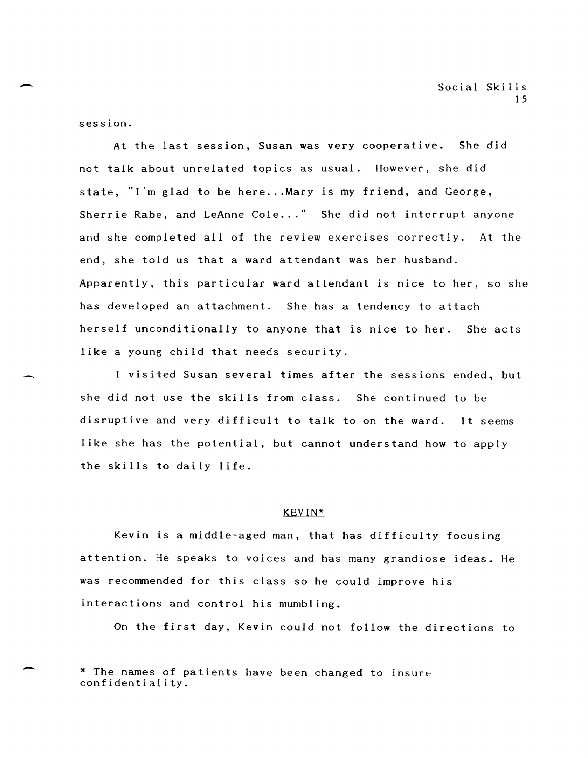session.

At the last session, Susan was very cooperative. She did not talk about unrelated topics as usual. However, she did state, "I'm glad to be here...Mary is my friend, and George, Sherrie Rabe, and LeAnne Cole..." She did not interrupt anyone and she completed all of the review exercises correctly. At the end, she told us that a ward attendant was her husband. Apparently, this particular ward attendant is nice to her, so she has developed an attachment. She has a tendency to attach herself unconditionally to anyone that is nice to her. She acts like a young child that needs security.

visited Susan several times after the sessions ended, but she did not use the skills from class. She continued to be disruptive and very difficult to talk to on the ward. It seems like she has the potential, but cannot understand how to apply the skills to daily life.

#### KEVIN\*

Kevin is a middle-aged man, that has difficulty focusing attention. He speaks to voices and has many grandiose ideas. He was recommended for this class so he could improve his interactions and control his mumbling.

On the first day, Kevin could not follow the directions to

<sup>\*</sup> The names of patients have been changed to insure confidentiality.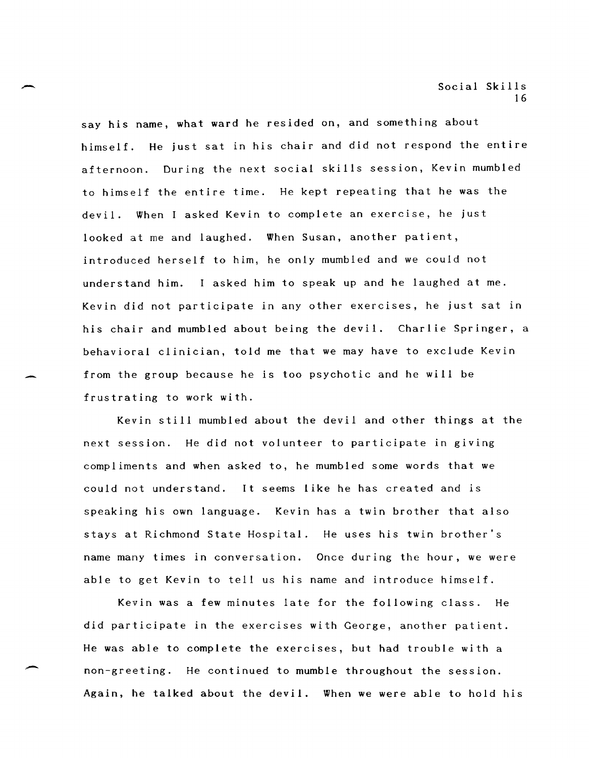say his name, what ward he resided on, and something about himself. He just sat in his chair and did not respond the entire afternoon. During the next social skills session, Kevin mumbled to himself the entire time. He kept repeating that he was the devil. When asked Kevin to complete an exercise, he just looked at me and laughed. When Susan, another patient, introduced herself to him, he only mumbled and we could not understand him. I asked him to speak up and he laughed at me. Kevin did not participate in any other exercises, he just sat in his chair and mumbled about being the devil. Charlie Springer, a behavioral clinician, told me that we may have to exclude Kevin from the group because he is too psychotic and he will be frustrating to work with.

 $\overline{\phantom{a}}$ 

-

Kevin still mumbled about the devil and other things at the next session. He did not volunteer to participate in giving compliments and when asked to, he mumbled some words that we could not understand. It seems like he has created and is speaking his own language. Kevin has a twin brother that also stays at Richmond State Hospital. He uses his twin brother's name many times in conversation. Once during the hour, we were able to get Kevin to tell us his name and introduce himself.

Kevin was a few minutes late for the following class. He did participate in the exercises with George, another patient. He was able to complete the exercises, but had trouble with a non-greeting. He continued to mumble throughout the session. Again, he talked about the devil. When we were able to hold his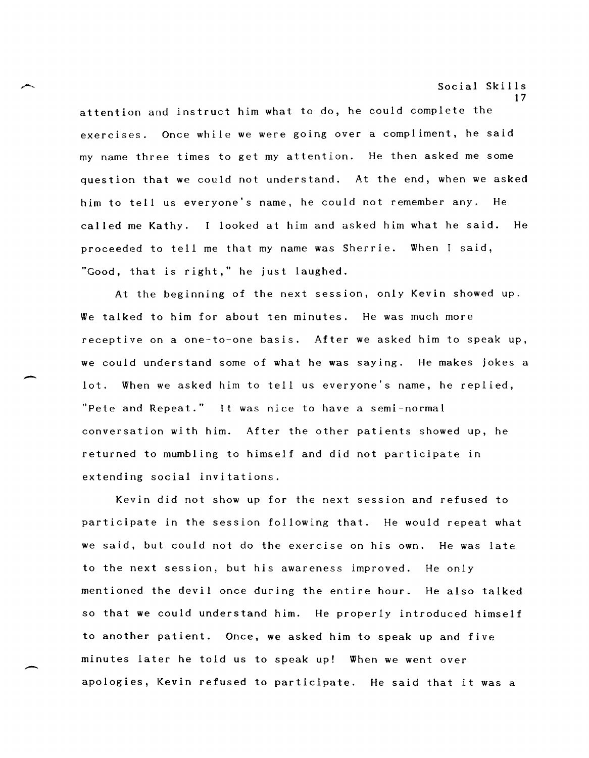attention and instruct him what to do, he could complete the exercises. Once while we were going over a compliment, he said my name three times to get my attention. He then asked me some question that we could not understand. At the end, when we asked him to tell us everyone's name, he could not remember any. He called me Kathy. looked at him and asked him what he said. He proceeded to tell me that my name was Sherrie. When I said, "Good, that is right," he just laughed.

At the beginning of the next session, only Kevin showed up. We talked to him for about ten minutes. He was much more receptive on a one-to-one basis. After we asked him to speak up, we could understand some of what he was saying. He makes jokes a lot. When we asked him to tell us everyone's name, he replied, "Pete and Repeat." It was nice to have a semi-normal conversation with him. After the other patients showed up, he returned to mumbling to himself and did not participate in extending social invitations.

-

 $\overline{\phantom{a}}$ 

Kevin did not show up for the next session and refused to participate in the session following that. He would repeat what we said, but could not do the exercise on his own. He was late to the next session, but his awareness improved. He only mentioned the devil once during the entire hour. He also talked so that we could understand him. He properly introduced himself to another patient. Once, we asked him to speak up and five minutes later he told us to speak up! When we went over apologies, Kevin refused to participate. He said that it was a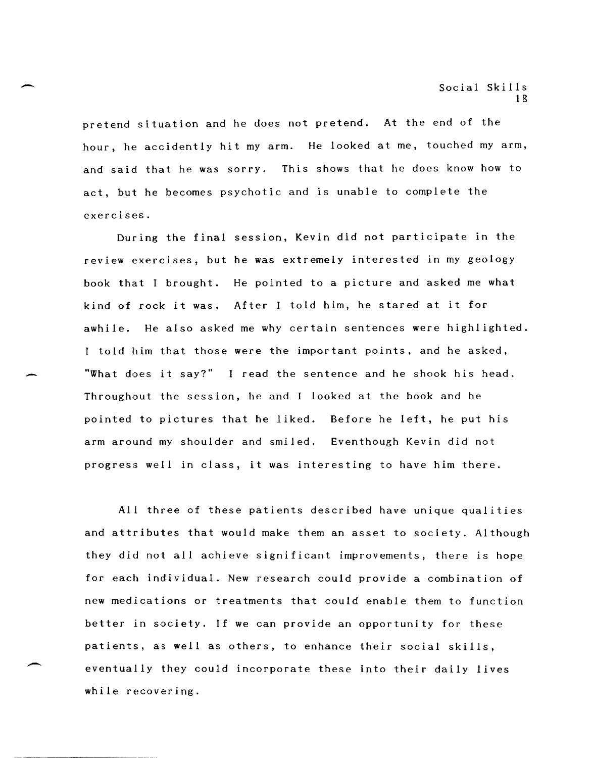pretend situation and he does not pretend. At the end of the hour, he accidently hit my arm. He looked at me, touched my arm, and said that he was sorry. This shows that he does know how to act, but he becomes psychotic and is unable to complete the exercises.

During the final session, Kevin did not participate in the review exercises, but he was extremely interested in my geology book that I brought. He pointed to a picture and asked me what kind of rock it was. After I told him, he stared at it for awhile. He also asked me why certain sentences were highlighted. I told him that those were the important points, and he asked, "What does it say?" I read the sentence and he shook his head. Throughout the session, he and I looked at the book and he pointed to pictures that he liked. Before he left, he put his arm around my shoulder and smiled. Eventhough Kevin did not progress well in class, it was interesting to have him there.

All three of these patients described have unique qualities and attributes that would make them an asset to society. Although they did not all achieve significant improvements, there is hope for each individual. New research could provide a combination of new medications or treatments that could enable them to function better in society. If we can provide an opportunity for these patients, as well as others, to enhance their social skills, eventually they could incorporate these into their daily lives while recovering.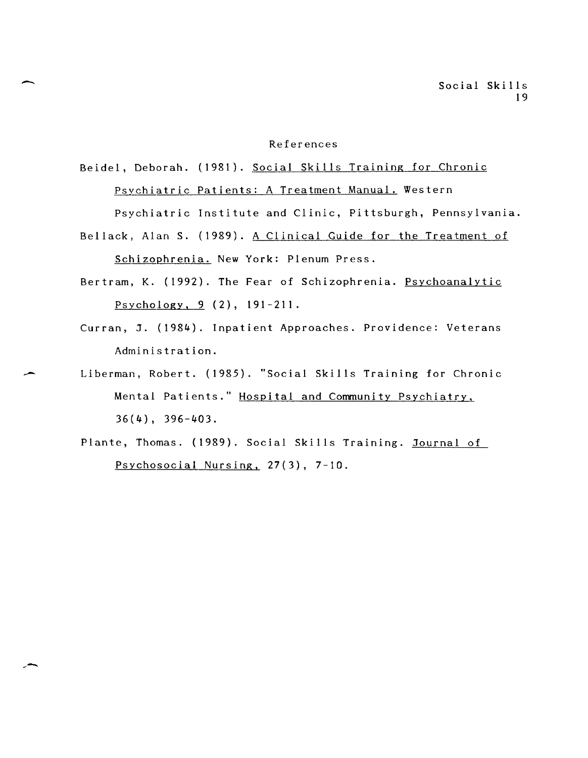#### References

## Beidel, Deborah. (1981). Social Skills Training for Chronic Psychiatric Patients: A Treatment Manual. Western

-

Psychiatric Institute and Clinic, Pittsburgh, Pennsylvania.

- Bellack, Alan S. (1989). A Clinical Guide for the Treatment of Schizophrenia. New York: Plenum Press.
- Bertram, K. (1992). The Fear of Schizophrenia. Psychoanalytic Psychology, 9 (2), 191-211.
- Curran, J. (1984). Inpatient Approaches. Providence: Veterans Administration.
- Liberman, Robert. (1985). "Social Skills Training for Chronic Mental Patients." Hospital and Community Psychiatry, 36(4), 396-403.
	- Plante, Thomas. (1989). Social Skills Training. Journal of Psychosocial Nursing, 27(3), 7-10.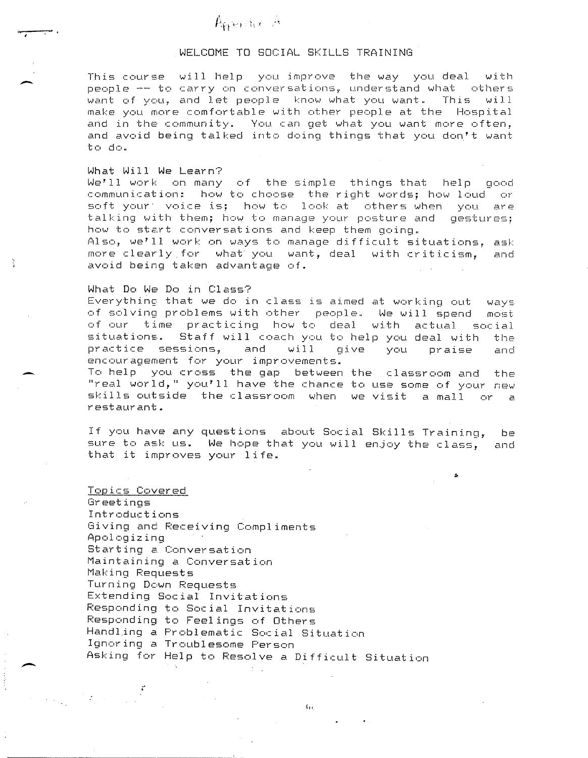#### WELCOME TO SOCIAL SKILLS TRAINING

This course will help you improve the way you deal with people -- to carry on conversations, understand what others<br>want of you. and let people "know what you want." This "will want of you, and let people know what you want. This. make you more comfortable with other people at the Hospital and in the community. You can get what you want more often, and avoid being talked into doing things that you don't want to do ..

#### What Will We Learn?

-<br>-<br>-

-

Å.

We'll work on many of the simple things that help good communication: how to choose the right words; how loud or soft your' voice is; how to look at others when you are talking with them; how to manage your posture and gestures; how to start conversations and keep them going ..

Also, we'll work on ways to manage difficult situations, ask more clearly for what you want, deal with criticism, and avoid being taken advantage of.

#### What Do We Do in Class?

Everything that we do in class is aimed at working out ways of solving problems with other people.. We will spend most of our time practicing how to deal with actual social Staff will coach you to help you deal with the practice sessions, and will give you praise and encouragement for your improvements.

To help you cross the gap between the classroom and the "real world," you'll have the chance to use some of your new skills outside the classroom when we visit a mall or a restaurant.

If you have any questions about Social Skills Training, be sure to ask us. We hope that you will enjoy the class, and that it improves your life.

#### Topics Covered

Greetings Introductions Giving and Receiving Compliments Apologizing Starting a Conversation Maintaining a Conversation Making Pequests Turning Down Requests Extending Social Invitations Pesponding to Social Invitations Pesponding to Feelings of Others Handling a Problematic Social Situation Ignoring a Troublesome Person Asking for Help to Pesolve a Difficult Situation

 $T_{\rm H}$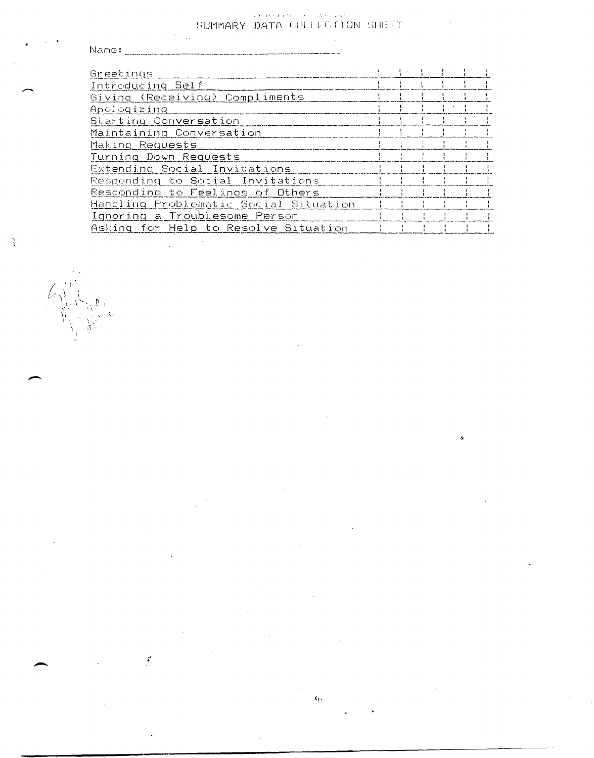# SUMMARY DATA COLLECTION SHEET

 $\ddot{\phantom{a}}$ 

 $\ddot{\phi}$ 

 $\frac{3}{4}$ 

ĺ,

| Name:                                 |  |  |  |
|---------------------------------------|--|--|--|
|                                       |  |  |  |
| Greetings                             |  |  |  |
| Introducing Self                      |  |  |  |
| Giving (Receiving) Compliments        |  |  |  |
| Apologizing                           |  |  |  |
| Starting Conversation                 |  |  |  |
| Maintaining Conversation              |  |  |  |
| Making Requests                       |  |  |  |
| Turning Down Requests                 |  |  |  |
| Extending Social Invitations          |  |  |  |
| Responding to Social Invitations      |  |  |  |
| Responding to Feelings of Others      |  |  |  |
| Handling Problematic Social Situation |  |  |  |
| Ignoring a Troublesome Person         |  |  |  |
| Asking for Help to Resolve Situation  |  |  |  |

 $\mathbf{G}_\mathrm{G}$ 

 $\bar{\mathbf{3}}$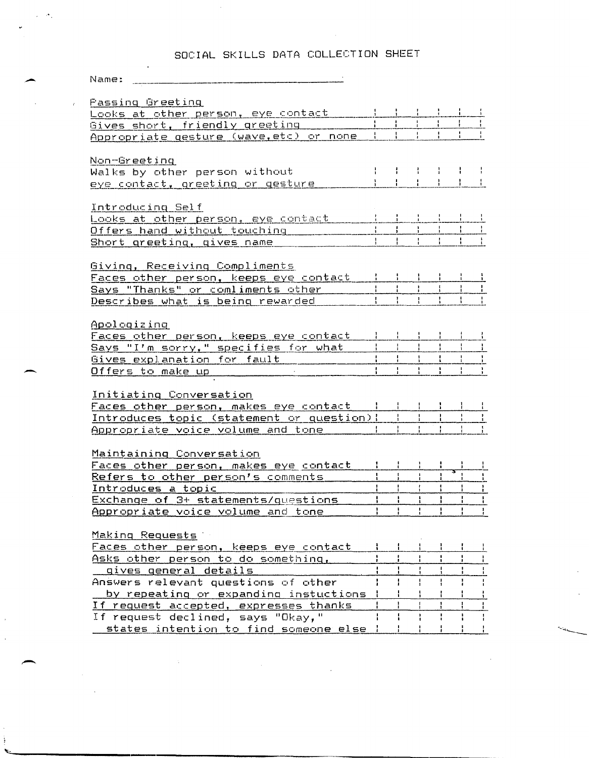## SOCIAL SKILLS DATA COLLECTION SHEET

| Looks at other person, eye contact                                        |  |                               |  |  |
|---------------------------------------------------------------------------|--|-------------------------------|--|--|
| and the state of the state of the state<br>Gives short, friendly greeting |  |                               |  |  |
| Appropriate gesture (wave, etc) or none I                                 |  |                               |  |  |
|                                                                           |  |                               |  |  |
| Non-Greeting                                                              |  |                               |  |  |
| Walks by other person without                                             |  |                               |  |  |
| eye contact, greeting or gesture                                          |  | $-3$ $-1$ $-1$ $-1$ $-1$ $-1$ |  |  |
|                                                                           |  |                               |  |  |
| Introducing Self                                                          |  |                               |  |  |
| Looks at other person, eye contact that in the late                       |  |                               |  |  |
| Offers hand without touching                                              |  |                               |  |  |
| Short greeting, gives name                                                |  |                               |  |  |
|                                                                           |  |                               |  |  |
| Giving, Receiving Compliments                                             |  |                               |  |  |
| Faces other person, keeps eye contact 1 1 1 1                             |  |                               |  |  |

| Savs "Thanks" or comliments other<br>Describes what is being rewarded<br>وي الإقدامية الأنب المربعية المائكة التينية وبيور بيور بيور بيون البرابيلية فإن بيار من يجمع بيور المرافقة المائكة المنافسية المائكة وبالمنافخة والمنافخة | races otner person. keeps eve contact |  | الأموالي المراجعة والمستعمرون الألوالي فيتوج الترابيب ومستعمر والمستحدث المستحدث المواطن المواطنات ومحسسات مانة ومعدن |  |  |  |  |
|------------------------------------------------------------------------------------------------------------------------------------------------------------------------------------------------------------------------------------|---------------------------------------|--|-----------------------------------------------------------------------------------------------------------------------|--|--|--|--|
|                                                                                                                                                                                                                                    |                                       |  |                                                                                                                       |  |  |  |  |
|                                                                                                                                                                                                                                    |                                       |  |                                                                                                                       |  |  |  |  |

Apologizing

 $\omega \sim \sigma_{\rm A}$ 

| Faces other person. keeps eve contact |  |  |  |
|---------------------------------------|--|--|--|
| Savs "I'm sorry." specifies for what  |  |  |  |
| Gives explanation for fault           |  |  |  |
| Offers to make un                     |  |  |  |

Initiating Conversation

| Faces other person. makes eye contact     |                                                                                                                                               |  |  |  |  |
|-------------------------------------------|-----------------------------------------------------------------------------------------------------------------------------------------------|--|--|--|--|
| Introduces topic (statement or question); |                                                                                                                                               |  |  |  |  |
| Appropriate voice volume and tone         | التاسف تعاسست فاعاجم وتربيه والالالات فالقالة فالقانوية ولأنا الالتقاؤه وترضي والمراسمات والمرادي والمراد ويوروها فالمتحدث والمتحادث والمتحدث |  |  |  |  |

#### Maintaining Conversation

| <u>Faces other person, makes eye contact</u> |  |  |  |
|----------------------------------------------|--|--|--|
| Refers to other person's comments            |  |  |  |
| Introduces a topic                           |  |  |  |
| Exchange of 3+ statements/questions          |  |  |  |
| Appropriate voice volume and tone            |  |  |  |

<u> Making Requests</u>

| Faces other person, keeps eye contact   |  |  |  |
|-----------------------------------------|--|--|--|
| Asks other person to do something,      |  |  |  |
| qives qeneral details                   |  |  |  |
| Answers relevant questions of other     |  |  |  |
| by repeating or expanding instuctions ! |  |  |  |
| If request accepted, expresses thanks   |  |  |  |
| If request declined, says "Okay,"       |  |  |  |
| states intention to find someone else   |  |  |  |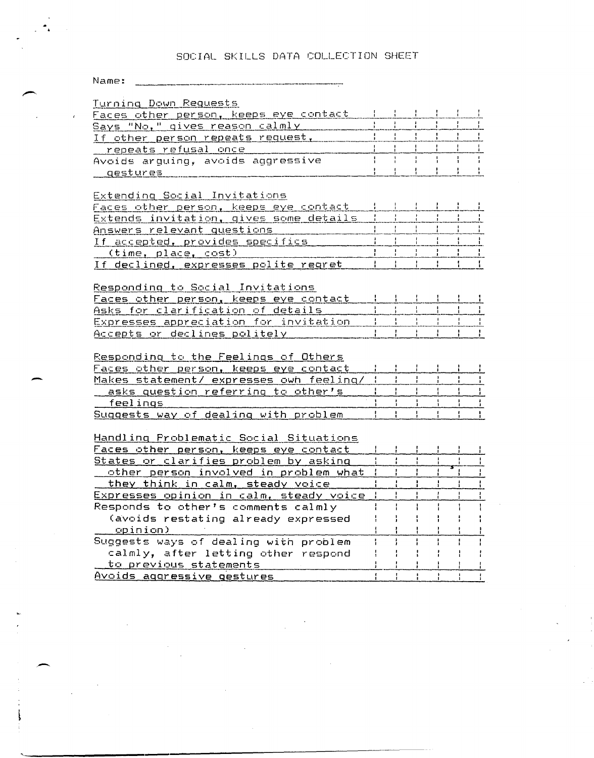### SOCIAL SKILLS DATA COLLECTION SHEET

## 

| Turning Down Requests                                       |    |   |                             |               |               |               |
|-------------------------------------------------------------|----|---|-----------------------------|---------------|---------------|---------------|
| <u>Faces other person, keeps eye contact</u>                |    |   |                             |               |               |               |
| <u>Says "No," gives reason calmly </u>                      |    |   |                             |               |               |               |
| If other person repeats request,                            |    |   |                             |               |               |               |
| <u>repeats refusal once ________</u>                        |    |   |                             |               |               |               |
| Avoids arguing, avoids aggressive                           |    |   |                             |               |               |               |
| qestures                                                    |    |   |                             | $\frac{1}{1}$ | ÷             |               |
|                                                             |    |   |                             |               |               |               |
| Extending Social Invitations                                |    |   |                             |               |               |               |
| <u>Faces other person, keeps eye contact</u>                |    |   |                             |               | $\frac{1}{2}$ |               |
| Extends invitation, gives some details                      |    |   |                             |               |               |               |
| Answers relevant questions                                  |    |   |                             |               | j.            | ÷             |
| If accepted, provides specifics                             |    |   |                             |               |               |               |
| (time, place, cost)                                         |    |   |                             |               | $\cdot$       | $\mathbf{1}$  |
| If declined, expresses polite regret                        |    |   |                             |               |               | -1            |
|                                                             |    |   |                             |               |               |               |
| Responding to Social Invitations                            |    |   |                             |               |               |               |
| Faces other person, keeps eye contact                       |    |   |                             |               |               |               |
| Asks for clarification of details                           |    |   |                             |               |               |               |
| Expresses appreciation for invitation                       |    |   |                             |               |               |               |
| Accepts or declines politely                                |    |   |                             |               |               |               |
|                                                             |    |   |                             |               |               |               |
|                                                             |    |   |                             |               |               |               |
|                                                             |    |   |                             |               |               |               |
| <u>Responding to the Feelings of Others</u>                 |    |   |                             |               |               |               |
| Faces other person, keeps eye contact                       |    |   |                             |               |               |               |
| Makes statement/ expresses own feeling/                     |    |   | Ŧ                           | ł             |               |               |
| asks question referring to other's                          |    |   |                             |               |               | $\frac{1}{2}$ |
| feelings                                                    |    |   |                             |               | $\frac{1}{4}$ | $\frac{1}{2}$ |
| Suggests way of dealing with problem                        | ŧ. |   |                             |               |               |               |
|                                                             |    |   |                             |               |               |               |
| Handling Problematic Social Situations                      |    |   |                             |               |               |               |
| <u> Faces other person, keeps eye contact</u>               |    |   | in Poli                     | $\mathcal{A}$ |               | -11           |
| States or clarifies problem by asking                       |    |   | $\mathbf{1}_{\mathbf{1}}$ . | $\mathbf{I}$  |               |               |
| other person involved in problem what                       |    |   |                             |               |               |               |
| they think in calm, steady voice                            |    |   |                             |               |               |               |
| Expresses opinion in calm, steady voice                     |    |   |                             |               |               |               |
| Responds to other's comments calmly                         |    |   |                             |               |               |               |
| (avoids restating already expressed                         |    |   |                             |               |               |               |
| opinion)                                                    |    |   |                             |               |               |               |
| Suggests ways of dealing with problem                       |    |   |                             |               |               |               |
| calmly, after letting other respond                         |    |   |                             |               |               |               |
| to previous statements<br><u>Avoids aggressive gestures</u> |    | ł | ł                           | ۰             | ł             | Ť             |